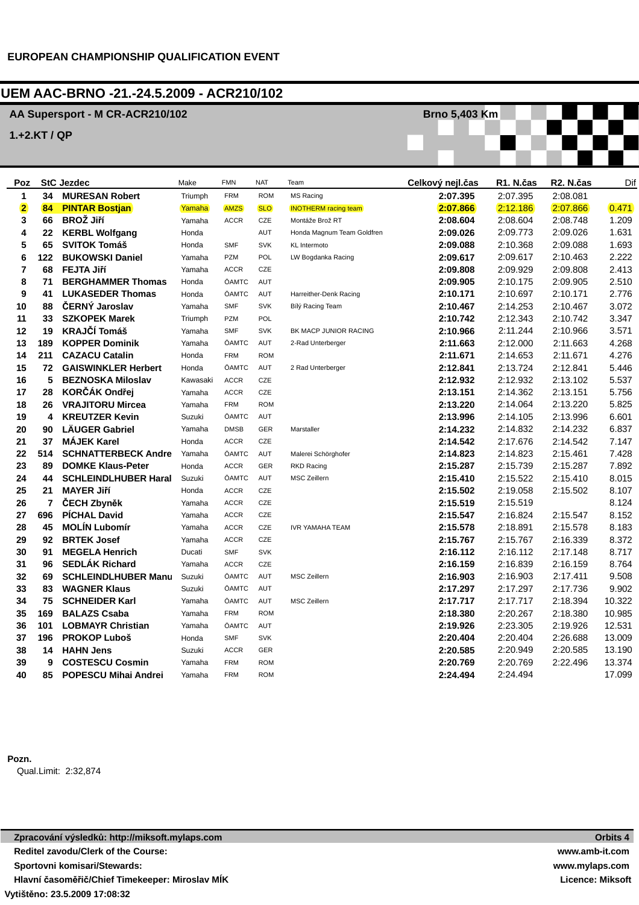## UEM AAC-BRNO -21 .- 24.5.2009 - ACR210/102

## AA Supersport - M CR-ACR210/102

1.+2.KT / QP

| Poz               |                | <b>StC Jezdec</b>           | Make     | <b>FMN</b>  | <b>NAT</b> | Team                        | Celkový nejl.čas | R1. N.čas  | R2. N.čas  | Dif    |
|-------------------|----------------|-----------------------------|----------|-------------|------------|-----------------------------|------------------|------------|------------|--------|
| $\mathbf{1}$      | 34             | <b>MURESAN Robert</b>       | Triumph  | <b>FRM</b>  | <b>ROM</b> | MS Racing                   | 2:07.395         | 2:07.395   | 2:08.081   |        |
| $\left( 2\right)$ | 84             | <b>PINTAR Bostjan</b>       | Yamaha   | AMZS        | <b>SLO</b> | <b>INOTHERM</b> racing team | (2:07.866)       | (2:12.186) | (2:07.866) | 0.471  |
| 3                 | 66             | <b>BROŽ Jiří</b>            | Yamaha   | <b>ACCR</b> | CZE        | Montáže Brož RT             | 2:08.604         | 2:08.604   | 2:08.748   | 1.209  |
| 4                 | 22             | <b>KERBL Wolfgang</b>       | Honda    |             | <b>AUT</b> | Honda Magnum Team Goldfren  | 2:09.026         | 2:09.773   | 2:09.026   | 1.631  |
| 5                 | 65             | <b>SVITOK Tomáš</b>         | Honda    | <b>SMF</b>  | <b>SVK</b> | KL Intermoto                | 2:09.088         | 2:10.368   | 2:09.088   | 1.693  |
| 6                 | 122            | <b>BUKOWSKI Daniel</b>      | Yamaha   | <b>PZM</b>  | POL        | LW Bogdanka Racing          | 2:09.617         | 2:09.617   | 2:10.463   | 2.222  |
| $\overline{7}$    | 68             | <b>FEJTA Jiří</b>           | Yamaha   | <b>ACCR</b> | CZE        |                             | 2:09.808         | 2:09.929   | 2:09.808   | 2.413  |
| 8                 | 71             | <b>BERGHAMMER Thomas</b>    | Honda    | ÖAMTC       | <b>AUT</b> |                             | 2:09.905         | 2:10.175   | 2:09.905   | 2.510  |
| 9                 | 41             | <b>LUKASEDER Thomas</b>     | Honda    | ÖAMTC       | AUT        | Harreither-Denk Racing      | 2:10.171         | 2:10.697   | 2:10.171   | 2.776  |
| 10                | 88             | ČERNÝ Jaroslav              | Yamaha   | <b>SMF</b>  | <b>SVK</b> | Bílý Racing Team            | 2:10.467         | 2:14.253   | 2:10.467   | 3.072  |
| 11                | 33             | <b>SZKOPEK Marek</b>        | Triumph  | <b>PZM</b>  | POL        |                             | 2:10.742         | 2:12.343   | 2:10.742   | 3.347  |
| 12                | 19             | <b>KRAJČÍ Tomáš</b>         | Yamaha   | <b>SMF</b>  | <b>SVK</b> | BK MACP JUNIOR RACING       | 2:10.966         | 2:11.244   | 2:10.966   | 3.571  |
| 13                | 189            | <b>KOPPER Dominik</b>       | Yamaha   | ÖAMTC       | AUT        | 2-Rad Unterberger           | 2:11.663         | 2:12.000   | 2:11.663   | 4.268  |
| 14                | 211            | <b>CAZACU Catalin</b>       | Honda    | <b>FRM</b>  | <b>ROM</b> |                             | 2:11.671         | 2:14.653   | 2:11.671   | 4.276  |
| 15                | 72             | <b>GAISWINKLER Herbert</b>  | Honda    | ÖAMTC       | <b>AUT</b> | 2 Rad Unterberger           | 2:12.841         | 2:13.724   | 2:12.841   | 5.446  |
| 16                | 5              | <b>BEZNOSKA Miloslav</b>    | Kawasaki | <b>ACCR</b> | CZE        |                             | 2:12.932         | 2:12.932   | 2:13.102   | 5.537  |
| 17                | 28             | KORČÁK Ondřej               | Yamaha   | <b>ACCR</b> | CZE        |                             | 2:13.151         | 2:14.362   | 2:13.151   | 5.756  |
| 18                | 26             | <b>VRAJITORU Mircea</b>     | Yamaha   | <b>FRM</b>  | <b>ROM</b> |                             | 2:13.220         | 2:14.064   | 2:13.220   | 5.825  |
| 19                | 4              | <b>KREUTZER Kevin</b>       | Suzuki   | ÖAMTC       | AUT        |                             | 2:13.996         | 2:14.105   | 2:13.996   | 6.601  |
| 20                | 90             | <b>LÄUGER Gabriel</b>       | Yamaha   | <b>DMSB</b> | <b>GER</b> | Marstaller                  | 2:14.232         | 2:14.832   | 2:14.232   | 6.837  |
| 21                | 37             | <b>MÁJEK Karel</b>          | Honda    | <b>ACCR</b> | CZE        |                             | 2:14.542         | 2:17.676   | 2:14.542   | 7.147  |
| 22                | 514            | <b>SCHNATTERBECK Andre</b>  | Yamaha   | ÖAMTC       | <b>AUT</b> | Malerei Schörghofer         | 2:14.823         | 2:14.823   | 2:15.461   | 7.428  |
| 23                | 89             | <b>DOMKE Klaus-Peter</b>    | Honda    | ACCR        | <b>GER</b> | <b>RKD Racing</b>           | 2:15.287         | 2:15.739   | 2:15.287   | 7.892  |
| 24                | 44             | <b>SCHLEINDLHUBER Haral</b> | Suzuki   | ÖAMTC       | AUT        | <b>MSC Zeillern</b>         | 2:15.410         | 2:15.522   | 2:15.410   | 8.015  |
| 25                | 21             | <b>MAYER Jiří</b>           | Honda    | ACCR        | CZE        |                             | 2:15.502         | 2:19.058   | 2:15.502   | 8.107  |
| 26                | $\overline{7}$ | ČECH Zbyněk                 | Yamaha   | <b>ACCR</b> | CZE        |                             | 2:15.519         | 2:15.519   |            | 8.124  |
| 27                | 696            | <b>PÍCHAL David</b>         | Yamaha   | <b>ACCR</b> | CZE        |                             | 2:15.547         | 2:16.824   | 2:15.547   | 8.152  |
| 28                | 45             | <b>MOLÍN Lubomír</b>        | Yamaha   | <b>ACCR</b> | CZE        | <b>IVR YAMAHA TEAM</b>      | 2:15.578         | 2:18.891   | 2:15.578   | 8.183  |
| 29                | 92             | <b>BRTEK Josef</b>          | Yamaha   | <b>ACCR</b> | CZE        |                             | 2:15.767         | 2:15.767   | 2:16.339   | 8.372  |
| 30                | 91             | <b>MEGELA Henrich</b>       | Ducati   | <b>SMF</b>  | SVK        |                             | 2:16.112         | 2:16.112   | 2:17.148   | 8.717  |
| 31                | 96             | <b>SEDLÁK Richard</b>       | Yamaha   | <b>ACCR</b> | CZE        |                             | 2:16.159         | 2:16.839   | 2:16.159   | 8.764  |
| 32                | 69             | <b>SCHLEINDLHUBER Manu</b>  | Suzuki   | ÖAMTC       | <b>AUT</b> | <b>MSC Zeillern</b>         | 2:16.903         | 2:16.903   | 2:17.411   | 9.508  |
| 33                | 83             | <b>WAGNER Klaus</b>         | Suzuki   | ÖAMTC       | <b>AUT</b> |                             | 2:17.297         | 2:17.297   | 2:17.736   | 9.902  |
| 34                | 75             | <b>SCHNEIDER Karl</b>       | Yamaha   | ÖAMTC       | <b>AUT</b> | <b>MSC Zeillern</b>         | 2:17.717         | 2:17.717   | 2:18.394   | 10.322 |
| 35                | 169            | <b>BALAZS Csaba</b>         | Yamaha   | <b>FRM</b>  | <b>ROM</b> |                             | 2:18.380         | 2:20.267   | 2:18.380   | 10.985 |
| 36                | 101            | <b>LOBMAYR Christian</b>    | Yamaha   | ÖAMTC       | AUT        |                             | 2:19.926         | 2:23.305   | 2:19.926   | 12.531 |
| 37                | 196            | <b>PROKOP Luboš</b>         | Honda    | <b>SMF</b>  | <b>SVK</b> |                             | 2:20.404         | 2:20.404   | 2:26.688   | 13.009 |
| 38                | 14             | <b>HAHN Jens</b>            | Suzuki   | <b>ACCR</b> | <b>GER</b> |                             | 2:20.585         | 2:20.949   | 2:20.585   | 13.190 |
| 39                | 9              | <b>COSTESCU Cosmin</b>      | Yamaha   | <b>FRM</b>  | <b>ROM</b> |                             | 2:20.769         | 2:20.769   | 2:22.496   | 13.374 |
| 40                | 85             | <b>POPESCU Mihai Andrei</b> | Yamaha   | <b>FRM</b>  | <b>ROM</b> |                             | 2:24.494         | 2:24.494   |            | 17.099 |

**Brno 5,403 Km** 

Pozn.

Qual.Limit: 2:32,874